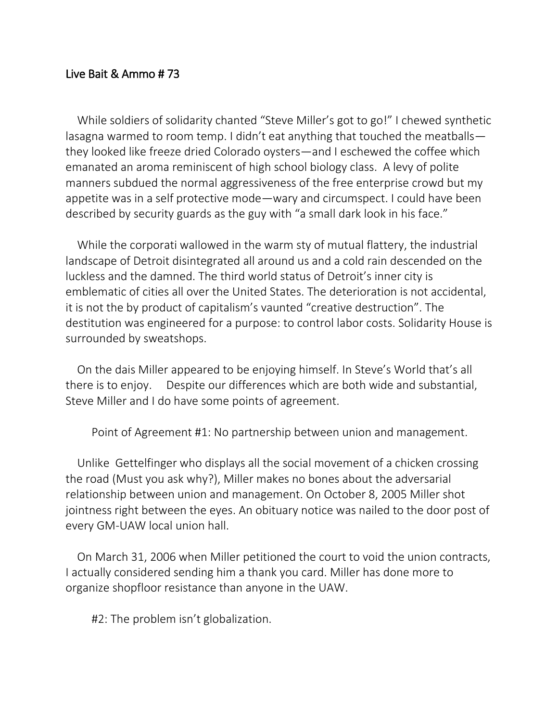## Live Bait & Ammo # 73

While soldiers of solidarity chanted "Steve Miller's got to go!" I chewed synthetic lasagna warmed to room temp. I didn't eat anything that touched the meatballs they looked like freeze dried Colorado oysters—and I eschewed the coffee which emanated an aroma reminiscent of high school biology class. A levy of polite manners subdued the normal aggressiveness of the free enterprise crowd but my appetite was in a self protective mode—wary and circumspect. I could have been described by security guards as the guy with "a small dark look in his face."

While the corporati wallowed in the warm sty of mutual flattery, the industrial landscape of Detroit disintegrated all around us and a cold rain descended on the luckless and the damned. The third world status of Detroit's inner city is emblematic of cities all over the United States. The deterioration is not accidental, it is not the by product of capitalism's vaunted "creative destruction". The destitution was engineered for a purpose: to control labor costs. Solidarity House is surrounded by sweatshops.

On the dais Miller appeared to be enjoying himself. In Steve's World that's all there is to enjoy. Despite our differences which are both wide and substantial, Steve Miller and I do have some points of agreement.

Point of Agreement #1: No partnership between union and management.

Unlike Gettelfinger who displays all the social movement of a chicken crossing the road (Must you ask why?), Miller makes no bones about the adversarial relationship between union and management. On October 8, 2005 Miller shot jointness right between the eyes. An obituary notice was nailed to the door post of every GM-UAW local union hall.

On March 31, 2006 when Miller petitioned the court to void the union contracts, I actually considered sending him a thank you card. Miller has done more to organize shopfloor resistance than anyone in the UAW.

#2: The problem isn't globalization.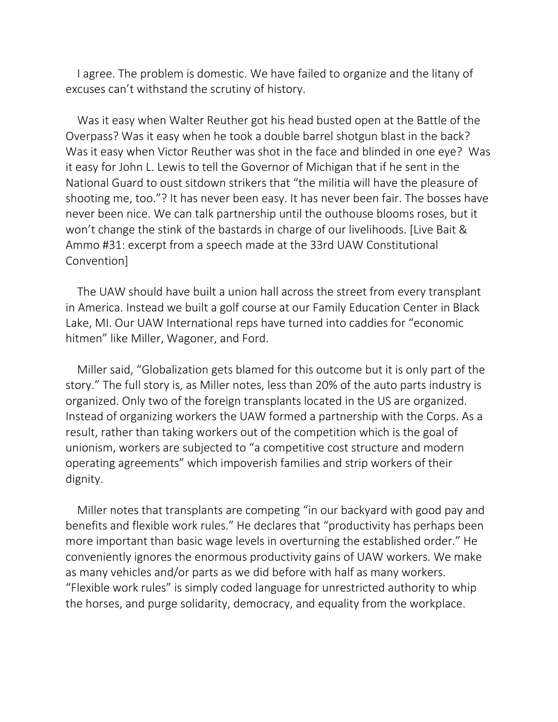I agree. The problem is domestic. We have failed to organize and the litany of excuses can't withstand the scrutiny of history.

Was it easy when Walter Reuther got his head busted open at the Battle of the Overpass? Was it easy when he took a double barrel shotgun blast in the back? Was it easy when Victor Reuther was shot in the face and blinded in one eye? Was it easy for John L. Lewis to tell the Governor of Michigan that if he sent in the National Guard to oust sitdown strikers that "the militia will have the pleasure of shooting me, too."? It has never been easy. It has never been fair. The bosses have never been nice. We can talk partnership until the outhouse blooms roses, but it won't change the stink of the bastards in charge of our livelihoods. [Live Bait & Ammo #31: excerpt from a speech made at the 33rd UAW Constitutional Convention]

The UAW should have built a union hall across the street from every transplant in America. Instead we built a golf course at our Family Education Center in Black Lake, MI. Our UAW International reps have turned into caddies for "economic hitmen" like Miller, Wagoner, and Ford.

Miller said, "Globalization gets blamed for this outcome but it is only part of the story." The full story is, as Miller notes, less than 20% of the auto parts industry is organized. Only two of the foreign transplants located in the US are organized. Instead of organizing workers the UAW formed a partnership with the Corps. As a result, rather than taking workers out of the competition which is the goal of unionism, workers are subjected to "a competitive cost structure and modern operating agreements" which impoverish families and strip workers of their dignity.

Miller notes that transplants are competing "in our backyard with good pay and benefits and flexible work rules." He declares that "productivity has perhaps been more important than basic wage levels in overturning the established order." He conveniently ignores the enormous productivity gains of UAW workers. We make as many vehicles and/or parts as we did before with half as many workers. "Flexible work rules" is simply coded language for unrestricted authority to whip the horses, and purge solidarity, democracy, and equality from the workplace.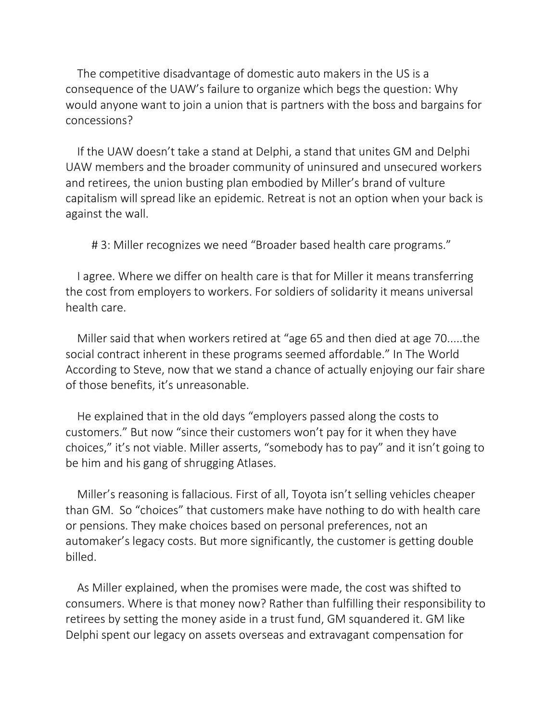The competitive disadvantage of domestic auto makers in the US is a consequence of the UAW's failure to organize which begs the question: Why would anyone want to join a union that is partners with the boss and bargains for concessions?

If the UAW doesn't take a stand at Delphi, a stand that unites GM and Delphi UAW members and the broader community of uninsured and unsecured workers and retirees, the union busting plan embodied by Miller's brand of vulture capitalism will spread like an epidemic. Retreat is not an option when your back is against the wall.

# 3: Miller recognizes we need "Broader based health care programs."

I agree. Where we differ on health care is that for Miller it means transferring the cost from employers to workers. For soldiers of solidarity it means universal health care.

Miller said that when workers retired at "age 65 and then died at age 70.....the social contract inherent in these programs seemed affordable." In The World According to Steve, now that we stand a chance of actually enjoying our fair share of those benefits, it's unreasonable.

He explained that in the old days "employers passed along the costs to customers." But now "since their customers won't pay for it when they have choices," it's not viable. Miller asserts, "somebody has to pay" and it isn't going to be him and his gang of shrugging Atlases.

Miller's reasoning is fallacious. First of all, Toyota isn't selling vehicles cheaper than GM. So "choices" that customers make have nothing to do with health care or pensions. They make choices based on personal preferences, not an automaker's legacy costs. But more significantly, the customer is getting double billed.

As Miller explained, when the promises were made, the cost was shifted to consumers. Where is that money now? Rather than fulfilling their responsibility to retirees by setting the money aside in a trust fund, GM squandered it. GM like Delphi spent our legacy on assets overseas and extravagant compensation for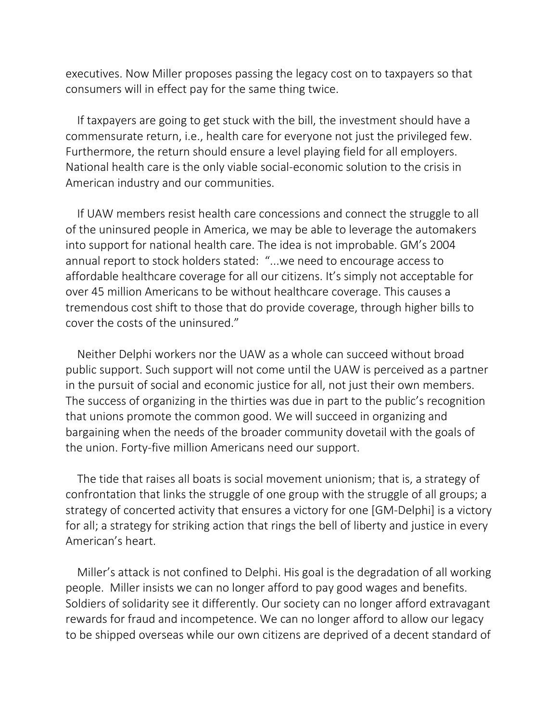executives. Now Miller proposes passing the legacy cost on to taxpayers so that consumers will in effect pay for the same thing twice.

If taxpayers are going to get stuck with the bill, the investment should have a commensurate return, i.e., health care for everyone not just the privileged few. Furthermore, the return should ensure a level playing field for all employers. National health care is the only viable social-economic solution to the crisis in American industry and our communities.

If UAW members resist health care concessions and connect the struggle to all of the uninsured people in America, we may be able to leverage the automakers into support for national health care. The idea is not improbable. GM's 2004 annual report to stock holders stated: "...we need to encourage access to affordable healthcare coverage for all our citizens. It's simply not acceptable for over 45 million Americans to be without healthcare coverage. This causes a tremendous cost shift to those that do provide coverage, through higher bills to cover the costs of the uninsured."

Neither Delphi workers nor the UAW as a whole can succeed without broad public support. Such support will not come until the UAW is perceived as a partner in the pursuit of social and economic justice for all, not just their own members. The success of organizing in the thirties was due in part to the public's recognition that unions promote the common good. We will succeed in organizing and bargaining when the needs of the broader community dovetail with the goals of the union. Forty-five million Americans need our support.

The tide that raises all boats is social movement unionism; that is, a strategy of confrontation that links the struggle of one group with the struggle of all groups; a strategy of concerted activity that ensures a victory for one [GM-Delphi] is a victory for all; a strategy for striking action that rings the bell of liberty and justice in every American's heart.

Miller's attack is not confined to Delphi. His goal is the degradation of all working people. Miller insists we can no longer afford to pay good wages and benefits. Soldiers of solidarity see it differently. Our society can no longer afford extravagant rewards for fraud and incompetence. We can no longer afford to allow our legacy to be shipped overseas while our own citizens are deprived of a decent standard of